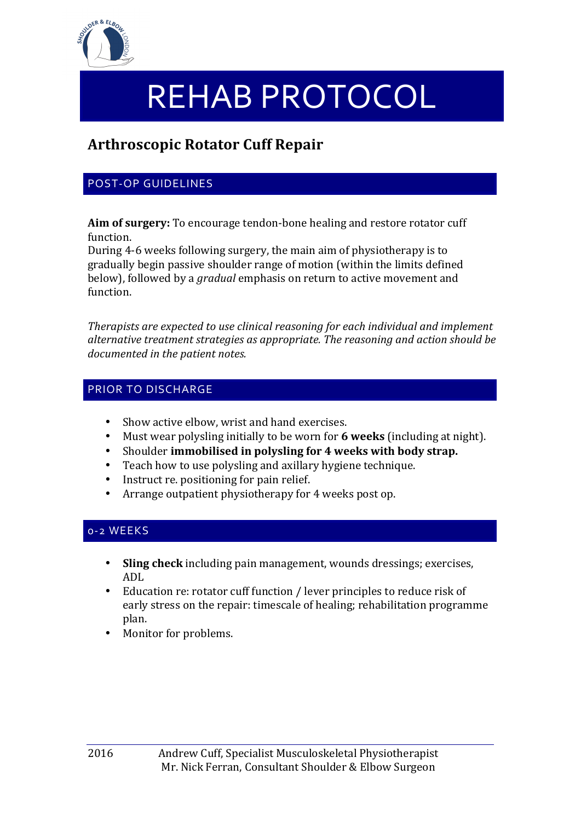

# REHAB PROTOCOL

# **Arthroscopic Rotator Cuff Repair**

## POST-OP GUIDELINES

**Aim of surgery:** To encourage tendon-bone healing and restore rotator cuff function.

During 4-6 weeks following surgery, the main aim of physiotherapy is to gradually begin passive shoulder range of motion (within the limits defined below), followed by a *gradual* emphasis on return to active movement and function.

*Therapists are expected to use clinical reasoning for each individual and implement* alternative treatment strategies as appropriate. The reasoning and action should be documented in the patient notes.

#### PRIOR TO DISCHARGE

- Show active elbow, wrist and hand exercises.
- Must wear polysling initially to be worn for **6 weeks** (including at night).
- Shoulder **immobilised** in polysling for 4 weeks with body strap.
- Teach how to use polysling and axillary hygiene technique.
- Instruct re. positioning for pain relief.
- Arrange outpatient physiotherapy for 4 weeks post op.

## 0-2 WEEKS

- Sling check including pain management, wounds dressings; exercises, ADL
- Education re: rotator cuff function / lever principles to reduce risk of early stress on the repair: timescale of healing; rehabilitation programme plan.
- Monitor for problems.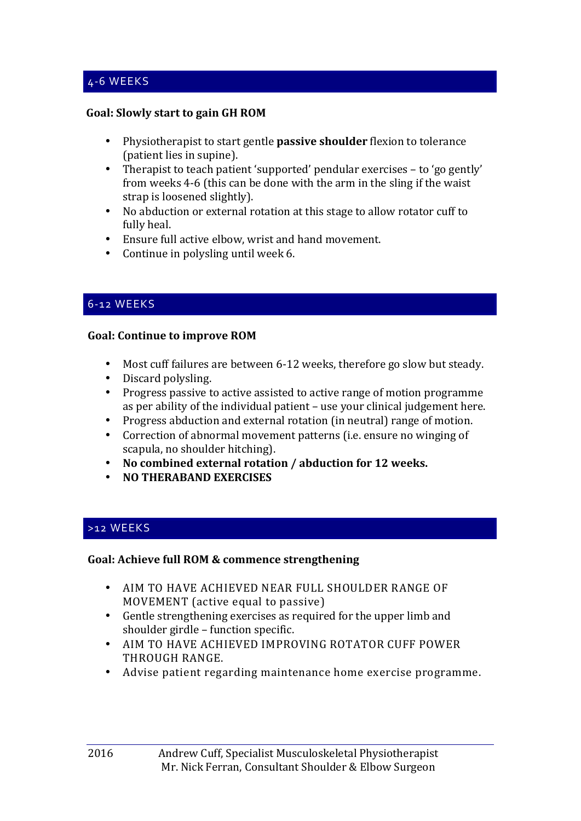#### **Goal: Slowly start to gain GH ROM**

- Physiotherapist to start gentle **passive shoulder** flexion to tolerance (patient lies in supine).
- Therapist to teach patient 'supported' pendular exercises to 'go gently' from weeks 4-6 (this can be done with the arm in the sling if the waist strap is loosened slightly).
- No abduction or external rotation at this stage to allow rotator cuff to fully heal.
- Ensure full active elbow, wrist and hand movement.
- Continue in polysling until week  $6$ .

#### 6-12 WEEKS

#### **Goal: Continue to improve ROM**

- Most cuff failures are between 6-12 weeks, therefore go slow but steady.
- Discard polysling.
- Progress passive to active assisted to active range of motion programme as per ability of the individual patient  $-$  use your clinical judgement here.
- Progress abduction and external rotation (in neutral) range of motion.
- Correction of abnormal movement patterns (i.e. ensure no winging of scapula, no shoulder hitching).
- No combined external rotation / abduction for 12 weeks.
- **NO THERABAND EXERCISES**

#### >12 WEEKS

#### Goal: Achieve full ROM & commence strengthening

- AIM TO HAVE ACHIEVED NEAR FULL SHOULDER RANGE OF MOVEMENT (active equal to passive)
- Gentle strengthening exercises as required for the upper limb and shoulder girdle – function specific.
- AIM TO HAVE ACHIEVED IMPROVING ROTATOR CUFF POWER THROUGH RANGE.
- Advise patient regarding maintenance home exercise programme.